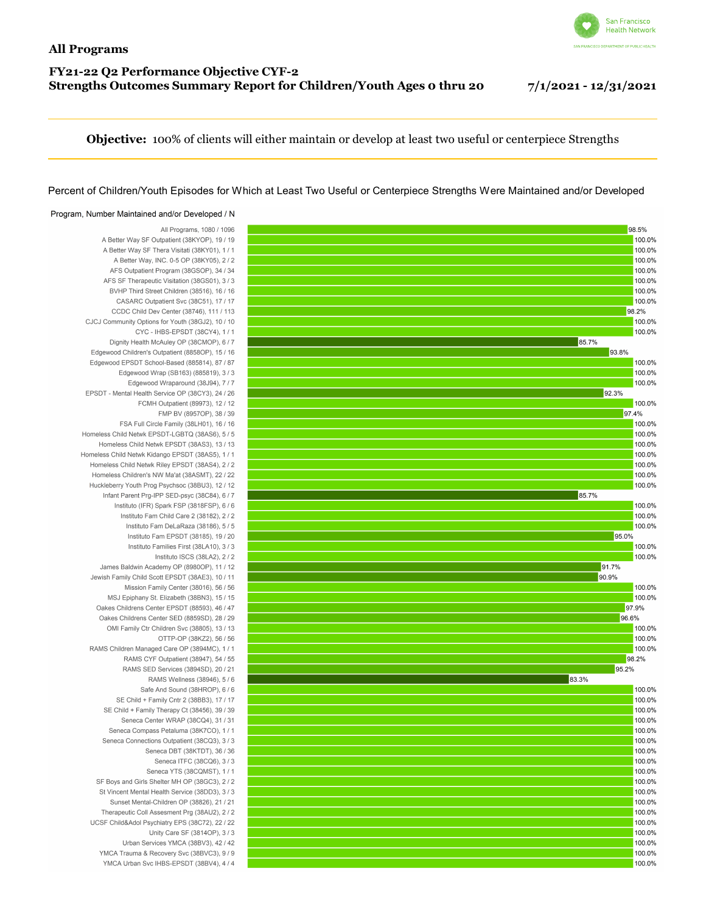## San Francisco **Health Network**

## **FY21-22 Q2 Performance Objective CYF-2 Strengths Outcomes Summary Report for Children/Youth Ages 0 thru 20 7/1/2021 - 12/31/2021**

**Objective:** 100% of clients will either maintain or develop at least two useful or centerpiece Strengths

## Percent of Children/Youth Episodes for Which at Least Two Useful or Centerpiece Strengths Were Maintained and/or Developed